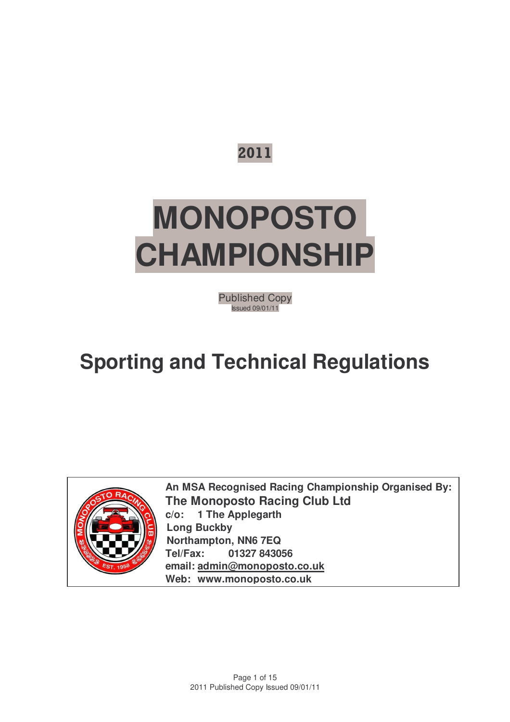

# **MONOPOSTO CHAMPIONSHIP**

Published Copy Issued 09/01/11

## **Sporting and Technical Regulations**



**An MSA Recognised Racing Championship Organised By: The Monoposto Racing Club Ltd c/o: 1 The Applegarth Long Buckby Northampton, NN6 7EQ Tel/Fax: 01327 843056 email: admin@monoposto.co.uk Web: www.monoposto.co.uk**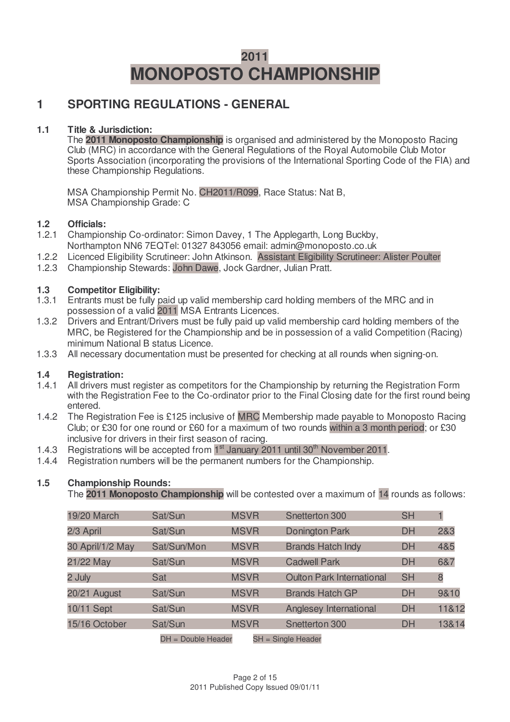## **2011 MONOPOSTO CHAMPIONSHIP**

#### **1 SPORTING REGULATIONS - GENERAL**

#### **1.1 Title & Jurisdiction:**

The **2011 Monoposto Championship** is organised and administered by the Monoposto Racing Club (MRC) in accordance with the General Regulations of the Royal Automobile Club Motor Sports Association (incorporating the provisions of the International Sporting Code of the FIA) and these Championship Regulations.

MSA Championship Permit No. CH2011/R099, Race Status: Nat B, MSA Championship Grade: C

## **1.2 Officials:**

- 1.2.1 Championship Co-ordinator: Simon Davey, 1 The Applegarth, Long Buckby, Northampton NN6 7EQTel: 01327 843056 email: admin@monoposto.co.uk
- 1.2.2 Licenced Eligibility Scrutineer: John Atkinson. Assistant Eligibility Scrutineer: Alister Poulter
- 1.2.3 Championship Stewards: John Dawe, Jock Gardner, Julian Pratt.

## **1.3 Competitor Eligibility:**

- Entrants must be fully paid up valid membership card holding members of the MRC and in possession of a valid 2011 MSA Entrants Licences.
- 1.3.2 Drivers and Entrant/Drivers must be fully paid up valid membership card holding members of the MRC, be Registered for the Championship and be in possession of a valid Competition (Racing) minimum National B status Licence.
- 1.3.3 All necessary documentation must be presented for checking at all rounds when signing-on.

#### **1.4 Registration:**

- 1.4.1 All drivers must register as competitors for the Championship by returning the Registration Form with the Registration Fee to the Co-ordinator prior to the Final Closing date for the first round being entered.
- 1.4.2 The Registration Fee is £125 inclusive of MRC Membership made payable to Monoposto Racing Club; or £30 for one round or £60 for a maximum of two rounds within a 3 month period; or £30 inclusive for drivers in their first season of racing.
- 1.4.3 Registrations will be accepted from  $1<sup>st</sup>$  January 2011 until 30<sup>th</sup> November 2011.
- 1.4.4 Registration numbers will be the permanent numbers for the Championship.

#### **1.5 Championship Rounds:**

The **2011 Monoposto Championship** will be contested over a maximum of 14 rounds as follows:

| 19/20 March      | Sat/Sun           | <b>MSVR</b> | Snetterton 300                   | <b>SH</b> |       |
|------------------|-------------------|-------------|----------------------------------|-----------|-------|
| 2/3 April        | Sat/Sun           | <b>MSVR</b> | <b>Donington Park</b>            | <b>DH</b> | 2&3   |
| 30 April/1/2 May | Sat/Sun/Mon       | <b>MSVR</b> | <b>Brands Hatch Indy</b>         | <b>DH</b> | 4&5   |
| 21/22 May        | Sat/Sun           | <b>MSVR</b> | <b>Cadwell Park</b>              | <b>DH</b> | 6&7   |
| 2 July           | Sat               | <b>MSVR</b> | <b>Oulton Park International</b> | <b>SH</b> | 8     |
| 20/21 August     | Sat/Sun           | <b>MSVR</b> | <b>Brands Hatch GP</b>           | <b>DH</b> | 9&10  |
| 10/11 Sept       | Sat/Sun           | <b>MSVR</b> | Anglesey International           | <b>DH</b> | 11&12 |
| 15/16 October    | Sat/Sun           | <b>MSVR</b> | Snetterton 300                   | <b>DH</b> | 13&14 |
|                  | DUL Double Hooder | C11         | Cinela Lloader                   |           |       |

DH = Double Header SH = Single Header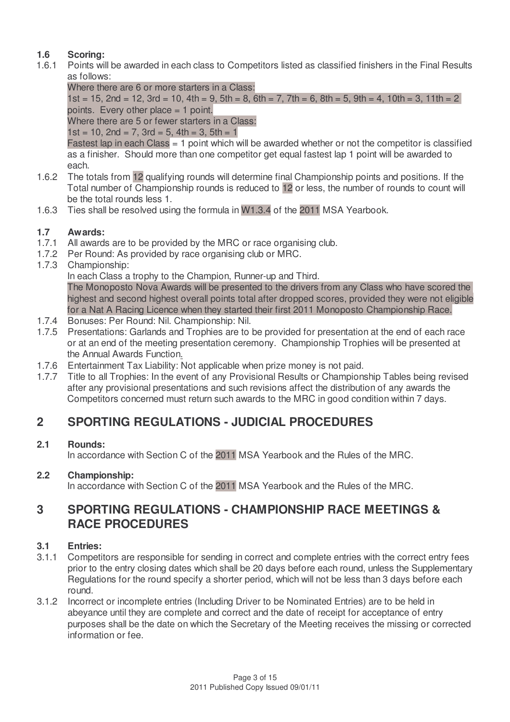#### **1.6 Scoring:**

- 1.6.1 Points will be awarded in each class to Competitors listed as classified finishers in the Final Results as follows:
	- Where there are 6 or more starters in a Class:

1st = 15, 2nd = 12, 3rd = 10, 4th = 9, 5th = 8, 6th = 7, 7th = 6, 8th = 5, 9th = 4, 10th = 3, 11th = 2 points. Every other place  $= 1$  point.

Where there are 5 or fewer starters in a Class:

 $1st = 10$ ,  $2nd = 7$ ,  $3rd = 5$ ,  $4th = 3$ ,  $5th = 1$ 

Fastest lap in each Class  $= 1$  point which will be awarded whether or not the competitor is classified as a finisher. Should more than one competitor get equal fastest lap 1 point will be awarded to each.

- 1.6.2 The totals from 12 qualifying rounds will determine final Championship points and positions. If the Total number of Championship rounds is reduced to 12 or less, the number of rounds to count will be the total rounds less 1.
- 1.6.3 Ties shall be resolved using the formula in W1.3.4 of the 2011 MSA Yearbook.

#### **1.7 Awards:**

- 1.7.1 All awards are to be provided by the MRC or race organising club.
- 1.7.2 Per Round: As provided by race organising club or MRC.
- 1.7.3 Championship:

In each Class a trophy to the Champion, Runner-up and Third.

The Monoposto Nova Awards will be presented to the drivers from any Class who have scored the highest and second highest overall points total after dropped scores, provided they were not eligible for a Nat A Racing Licence when they started their first 2011 Monoposto Championship Race.

- 1.7.4 Bonuses: Per Round: Nil. Championship: Nil.
- 1.7.5 Presentations: Garlands and Trophies are to be provided for presentation at the end of each race or at an end of the meeting presentation ceremony. Championship Trophies will be presented at the Annual Awards Function.
- 1.7.6 Entertainment Tax Liability: Not applicable when prize money is not paid.
- 1.7.7 Title to all Trophies: In the event of any Provisional Results or Championship Tables being revised after any provisional presentations and such revisions affect the distribution of any awards the Competitors concerned must return such awards to the MRC in good condition within 7 days.

## **2 SPORTING REGULATIONS - JUDICIAL PROCEDURES**

#### **2.1 Rounds:**

In accordance with Section C of the 2011 MSA Yearbook and the Rules of the MRC.

#### **2.2 Championship:**

In accordance with Section C of the 2011 MSA Yearbook and the Rules of the MRC.

#### **3 SPORTING REGULATIONS - CHAMPIONSHIP RACE MEETINGS & RACE PROCEDURES**

#### **3.1 Entries:**

- 3.1.1 Competitors are responsible for sending in correct and complete entries with the correct entry fees prior to the entry closing dates which shall be 20 days before each round, unless the Supplementary Regulations for the round specify a shorter period, which will not be less than 3 days before each round.
- 3.1.2 Incorrect or incomplete entries (Including Driver to be Nominated Entries) are to be held in abeyance until they are complete and correct and the date of receipt for acceptance of entry purposes shall be the date on which the Secretary of the Meeting receives the missing or corrected information or fee.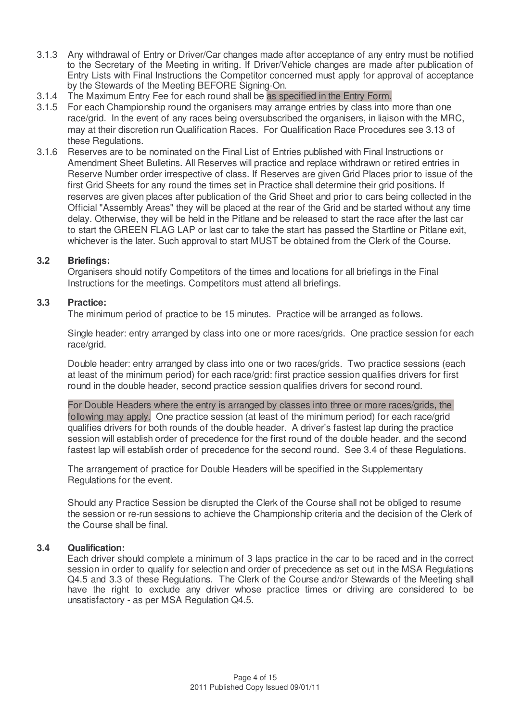- 3.1.3 Any withdrawal of Entry or Driver/Car changes made after acceptance of any entry must be notified to the Secretary of the Meeting in writing. If Driver/Vehicle changes are made after publication of Entry Lists with Final Instructions the Competitor concerned must apply for approval of acceptance by the Stewards of the Meeting BEFORE Signing-On.
- 3.1.4 The Maximum Entry Fee for each round shall be as specified in the Entry Form.
- 3.1.5 For each Championship round the organisers may arrange entries by class into more than one race/grid. In the event of any races being oversubscribed the organisers, in liaison with the MRC, may at their discretion run Qualification Races. For Qualification Race Procedures see 3.13 of these Regulations.
- 3.1.6 Reserves are to be nominated on the Final List of Entries published with Final Instructions or Amendment Sheet Bulletins. All Reserves will practice and replace withdrawn or retired entries in Reserve Number order irrespective of class. If Reserves are given Grid Places prior to issue of the first Grid Sheets for any round the times set in Practice shall determine their grid positions. If reserves are given places after publication of the Grid Sheet and prior to cars being collected in the Official "Assembly Areas" they will be placed at the rear of the Grid and be started without any time delay. Otherwise, they will be held in the Pitlane and be released to start the race after the last car to start the GREEN FLAG LAP or last car to take the start has passed the Startline or Pitlane exit, whichever is the later. Such approval to start MUST be obtained from the Clerk of the Course.

#### **3.2 Briefings:**

Organisers should notify Competitors of the times and locations for all briefings in the Final Instructions for the meetings. Competitors must attend all briefings.

#### **3.3 Practice:**

The minimum period of practice to be 15 minutes. Practice will be arranged as follows.

Single header: entry arranged by class into one or more races/grids. One practice session for each race/grid.

Double header: entry arranged by class into one or two races/grids. Two practice sessions (each at least of the minimum period) for each race/grid: first practice session qualifies drivers for first round in the double header, second practice session qualifies drivers for second round.

For Double Headers where the entry is arranged by classes into three or more races/grids, the following may apply. One practice session (at least of the minimum period) for each race/grid qualifies drivers for both rounds of the double header. A driver's fastest lap during the practice session will establish order of precedence for the first round of the double header, and the second fastest lap will establish order of precedence for the second round. See 3.4 of these Regulations.

The arrangement of practice for Double Headers will be specified in the Supplementary Regulations for the event.

Should any Practice Session be disrupted the Clerk of the Course shall not be obliged to resume the session or re-run sessions to achieve the Championship criteria and the decision of the Clerk of the Course shall be final.

#### **3.4 Qualification:**

Each driver should complete a minimum of 3 laps practice in the car to be raced and in the correct session in order to qualify for selection and order of precedence as set out in the MSA Regulations Q4.5 and 3.3 of these Regulations. The Clerk of the Course and/or Stewards of the Meeting shall have the right to exclude any driver whose practice times or driving are considered to be unsatisfactory - as per MSA Regulation Q4.5.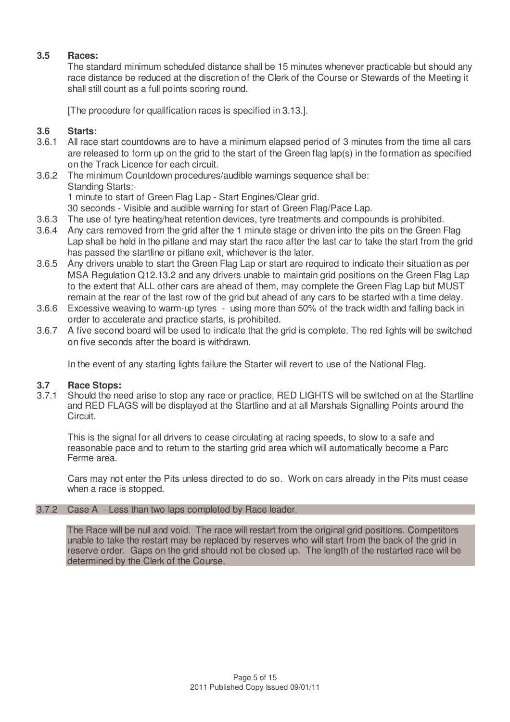#### **3.5 Races:**

The standard minimum scheduled distance shall be 15 minutes whenever practicable but should any race distance be reduced at the discretion of the Clerk of the Course or Stewards of the Meeting it shall still count as a full points scoring round.

[The procedure for qualification races is specified in 3.13.].

#### **3.6 Starts:**

- 3.6.1 All race start countdowns are to have a minimum elapsed period of 3 minutes from the time all cars are released to form up on the grid to the start of the Green flag lap(s) in the formation as specified on the Track Licence for each circuit.
- 3.6.2 The minimum Countdown procedures/audible warnings sequence shall be: Standing Starts:-1 minute to start of Green Flag Lap - Start Engines/Clear grid. 30 seconds - Visible and audible warning for start of Green Flag/Pace Lap.
- 3.6.3 The use of tyre heating/heat retention devices, tyre treatments and compounds is prohibited.
- 3.6.4 Any cars removed from the grid after the 1 minute stage or driven into the pits on the Green Flag Lap shall be held in the pitlane and may start the race after the last car to take the start from the grid has passed the startline or pitlane exit, whichever is the later.
- 3.6.5 Any drivers unable to start the Green Flag Lap or start are required to indicate their situation as per MSA Regulation Q12.13.2 and any drivers unable to maintain grid positions on the Green Flag Lap to the extent that ALL other cars are ahead of them, may complete the Green Flag Lap but MUST remain at the rear of the last row of the grid but ahead of any cars to be started with a time delay.
- 3.6.6 Excessive weaving to warm-up tyres using more than 50% of the track width and falling back in order to accelerate and practice starts, is prohibited.
- 3.6.7 A five second board will be used to indicate that the grid is complete. The red lights will be switched on five seconds after the board is withdrawn.

In the event of any starting lights failure the Starter will revert to use of the National Flag.

## **3.7 Race Stops:**

Should the need arise to stop any race or practice, RED LIGHTS will be switched on at the Startline and RED FLAGS will be displayed at the Startline and at all Marshals Signalling Points around the Circuit.

This is the signal for all drivers to cease circulating at racing speeds, to slow to a safe and reasonable pace and to return to the starting grid area which will automatically become a Parc Ferme area.

Cars may not enter the Pits unless directed to do so. Work on cars already in the Pits must cease when a race is stopped.

#### 3.7.2 Case A - Less than two laps completed by Race leader.

The Race will be null and void. The race will restart from the original grid positions. Competitors unable to take the restart may be replaced by reserves who will start from the back of the grid in reserve order. Gaps on the grid should not be closed up. The length of the restarted race will be determined by the Clerk of the Course.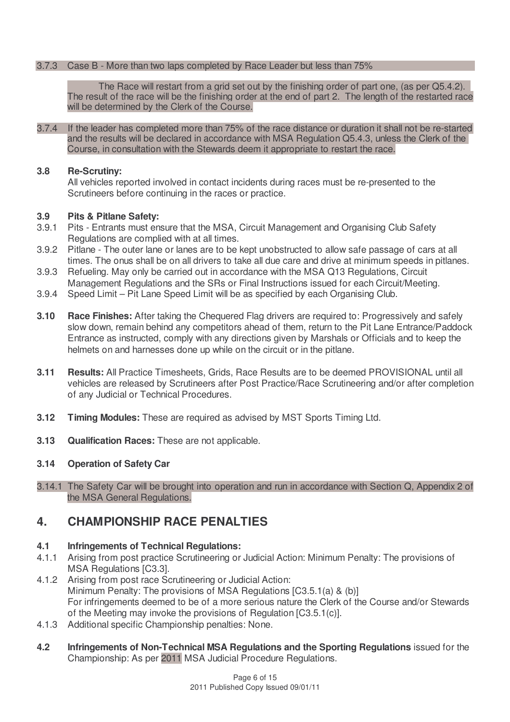#### 3.7.3 Case B - More than two laps completed by Race Leader but less than 75%

The Race will restart from a grid set out by the finishing order of part one, (as per Q5.4.2). The result of the race will be the finishing order at the end of part 2. The length of the restarted race will be determined by the Clerk of the Course.

3.7.4 If the leader has completed more than 75% of the race distance or duration it shall not be re-started and the results will be declared in accordance with MSA Regulation Q5.4.3, unless the Clerk of the Course, in consultation with the Stewards deem it appropriate to restart the race.

#### **3.8 Re-Scrutiny:**

All vehicles reported involved in contact incidents during races must be re-presented to the Scrutineers before continuing in the races or practice.

#### **3.9 Pits & Pitlane Safety:**

- 3.9.1 Pits Entrants must ensure that the MSA, Circuit Management and Organising Club Safety Regulations are complied with at all times.
- 3.9.2 Pitlane The outer lane or lanes are to be kept unobstructed to allow safe passage of cars at all times. The onus shall be on all drivers to take all due care and drive at minimum speeds in pitlanes.
- 3.9.3 Refueling. May only be carried out in accordance with the MSA Q13 Regulations, Circuit Management Regulations and the SRs or Final Instructions issued for each Circuit/Meeting.
- 3.9.4 Speed Limit Pit Lane Speed Limit will be as specified by each Organising Club.
- **3.10 Race Finishes:** After taking the Chequered Flag drivers are required to: Progressively and safely slow down, remain behind any competitors ahead of them, return to the Pit Lane Entrance/Paddock Entrance as instructed, comply with any directions given by Marshals or Officials and to keep the helmets on and harnesses done up while on the circuit or in the pitlane.
- **3.11 Results:** All Practice Timesheets, Grids, Race Results are to be deemed PROVISIONAL until all vehicles are released by Scrutineers after Post Practice/Race Scrutineering and/or after completion of any Judicial or Technical Procedures.
- **3.12 Timing Modules:** These are required as advised by MST Sports Timing Ltd.
- **3.13 Qualification Races:** These are not applicable.

#### **3.14 Operation of Safety Car**

3.14.1 The Safety Car will be brought into operation and run in accordance with Section Q, Appendix 2 of the MSA General Regulations.

#### **4. CHAMPIONSHIP RACE PENALTIES**

#### **4.1 Infringements of Technical Regulations:**

- 4.1.1 Arising from post practice Scrutineering or Judicial Action: Minimum Penalty: The provisions of MSA Regulations [C3.3].
- 4.1.2 Arising from post race Scrutineering or Judicial Action: Minimum Penalty: The provisions of MSA Regulations [C3.5.1(a) & (b)] For infringements deemed to be of a more serious nature the Clerk of the Course and/or Stewards of the Meeting may invoke the provisions of Regulation [C3.5.1(c)].
- 4.1.3 Additional specific Championship penalties: None.
- **4.2 Infringements of Non-Technical MSA Regulations and the Sporting Regulations** issued for the Championship: As per 2011 MSA Judicial Procedure Regulations.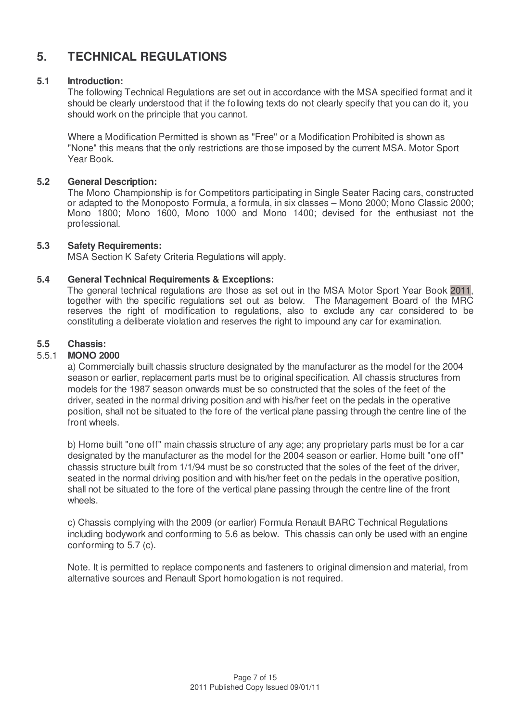### **5. TECHNICAL REGULATIONS**

#### **5.1 Introduction:**

The following Technical Regulations are set out in accordance with the MSA specified format and it should be clearly understood that if the following texts do not clearly specify that you can do it, you should work on the principle that you cannot.

Where a Modification Permitted is shown as "Free" or a Modification Prohibited is shown as "None" this means that the only restrictions are those imposed by the current MSA. Motor Sport Year Book.

#### **5.2 General Description:**

The Mono Championship is for Competitors participating in Single Seater Racing cars, constructed or adapted to the Monoposto Formula, a formula, in six classes – Mono 2000; Mono Classic 2000; Mono 1800; Mono 1600, Mono 1000 and Mono 1400; devised for the enthusiast not the professional.

#### **5.3 Safety Requirements:**

MSA Section K Safety Criteria Regulations will apply.

#### **5.4 General Technical Requirements & Exceptions:**

The general technical regulations are those as set out in the MSA Motor Sport Year Book 2011, together with the specific regulations set out as below. The Management Board of the MRC reserves the right of modification to regulations, also to exclude any car considered to be constituting a deliberate violation and reserves the right to impound any car for examination.

#### **5.5 Chassis:**

#### 5.5.1 **MONO 2000**

a) Commercially built chassis structure designated by the manufacturer as the model for the 2004 season or earlier, replacement parts must be to original specification. All chassis structures from models for the 1987 season onwards must be so constructed that the soles of the feet of the driver, seated in the normal driving position and with his/her feet on the pedals in the operative position, shall not be situated to the fore of the vertical plane passing through the centre line of the front wheels.

b) Home built "one off" main chassis structure of any age; any proprietary parts must be for a car designated by the manufacturer as the model for the 2004 season or earlier. Home built "one off" chassis structure built from 1/1/94 must be so constructed that the soles of the feet of the driver, seated in the normal driving position and with his/her feet on the pedals in the operative position, shall not be situated to the fore of the vertical plane passing through the centre line of the front wheels.

c) Chassis complying with the 2009 (or earlier) Formula Renault BARC Technical Regulations including bodywork and conforming to 5.6 as below. This chassis can only be used with an engine conforming to 5.7 (c).

Note. It is permitted to replace components and fasteners to original dimension and material, from alternative sources and Renault Sport homologation is not required.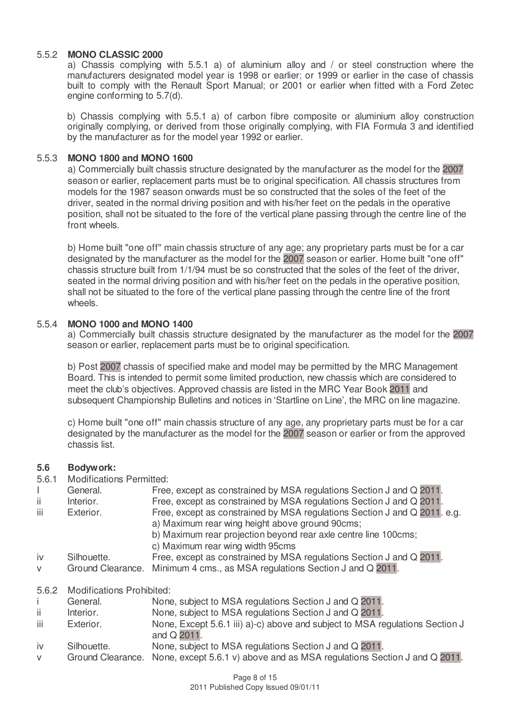#### 5.5.2 **MONO CLASSIC 2000**

a) Chassis complying with 5.5.1 a) of aluminium alloy and / or steel construction where the manufacturers designated model year is 1998 or earlier; or 1999 or earlier in the case of chassis built to comply with the Renault Sport Manual; or 2001 or earlier when fitted with a Ford Zetec engine conforming to 5.7(d).

b) Chassis complying with 5.5.1 a) of carbon fibre composite or aluminium alloy construction originally complying, or derived from those originally complying, with FIA Formula 3 and identified by the manufacturer as for the model year 1992 or earlier.

#### 5.5.3 **MONO 1800 and MONO 1600**

a) Commercially built chassis structure designated by the manufacturer as the model for the 2007 season or earlier, replacement parts must be to original specification. All chassis structures from models for the 1987 season onwards must be so constructed that the soles of the feet of the driver, seated in the normal driving position and with his/her feet on the pedals in the operative position, shall not be situated to the fore of the vertical plane passing through the centre line of the front wheels.

b) Home built "one off" main chassis structure of any age; any proprietary parts must be for a car designated by the manufacturer as the model for the 2007 season or earlier. Home built "one off" chassis structure built from 1/1/94 must be so constructed that the soles of the feet of the driver, seated in the normal driving position and with his/her feet on the pedals in the operative position, shall not be situated to the fore of the vertical plane passing through the centre line of the front wheels.

#### 5.5.4 **MONO 1000 and MONO 1400**

a) Commercially built chassis structure designated by the manufacturer as the model for the 2007 season or earlier, replacement parts must be to original specification.

b) Post 2007 chassis of specified make and model may be permitted by the MRC Management Board. This is intended to permit some limited production, new chassis which are considered to meet the club's objectives. Approved chassis are listed in the MRC Year Book 2011 and subsequent Championship Bulletins and notices in 'Startline on Line', the MRC on line magazine.

c) Home built "one off" main chassis structure of any age, any proprietary parts must be for a car designated by the manufacturer as the model for the 2007 season or earlier or from the approved chassis list.

#### **5.6 Bodywork:**

5.6.1 Modifications Permitted:

|              | General.                         | Free, except as constrained by MSA regulations Section J and Q 2011.                                                                                                                                                                |
|--------------|----------------------------------|-------------------------------------------------------------------------------------------------------------------------------------------------------------------------------------------------------------------------------------|
| ii.          | Interior.                        | Free, except as constrained by MSA regulations Section J and Q 2011.                                                                                                                                                                |
| iii          | Exterior.                        | Free, except as constrained by MSA regulations Section J and Q 2011. e.g.<br>a) Maximum rear wing height above ground 90cms;<br>b) Maximum rear projection beyond rear axle centre line 100cms;<br>c) Maximum rear wing width 95cms |
| iv           | Silhouette.                      | Free, except as constrained by MSA regulations Section J and Q 2011.                                                                                                                                                                |
| $\vee$       | Ground Clearance.                | Minimum 4 cms., as MSA regulations Section J and Q 2011.                                                                                                                                                                            |
| 5.6.2        | <b>Modifications Prohibited:</b> |                                                                                                                                                                                                                                     |
|              | General.                         | None, subject to MSA regulations Section J and Q 2011.                                                                                                                                                                              |
| ii.          | Interior.                        | None, subject to MSA regulations Section J and Q 2011.                                                                                                                                                                              |
| iii          | Exterior.                        | None, Except 5.6.1 iii) a)-c) above and subject to MSA regulations Section J<br>and Q 2011.                                                                                                                                         |
| $\mathbf{v}$ | <b>Silhouatta</b>                | None subject to $MSA$ requisions Section Land $\bigcap$ 2011                                                                                                                                                                        |

None, subject to MSA regulations Section J and  $Q$  2011. v Ground Clearance. None, except 5.6.1 v) above and as MSA regulations Section J and Q 2011.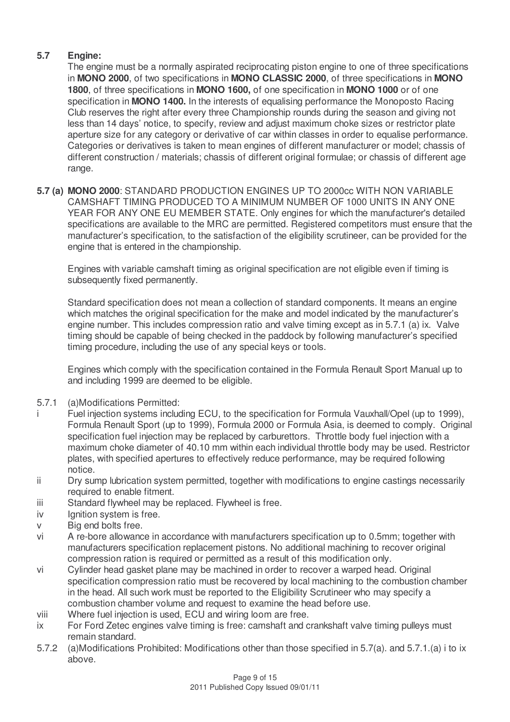#### **5.7 Engine:**

The engine must be a normally aspirated reciprocating piston engine to one of three specifications in **MONO 2000**, of two specifications in **MONO CLASSIC 2000**, of three specifications in **MONO 1800**, of three specifications in **MONO 1600,** of one specification in **MONO 1000** or of one specification in **MONO 1400.** In the interests of equalising performance the Monoposto Racing Club reserves the right after every three Championship rounds during the season and giving not less than 14 days' notice, to specify, review and adjust maximum choke sizes or restrictor plate aperture size for any category or derivative of car within classes in order to equalise performance. Categories or derivatives is taken to mean engines of different manufacturer or model; chassis of different construction / materials; chassis of different original formulae; or chassis of different age range.

**5.7 (a) MONO 2000**: STANDARD PRODUCTION ENGINES UP TO 2000cc WITH NON VARIABLE CAMSHAFT TIMING PRODUCED TO A MINIMUM NUMBER OF 1000 UNITS IN ANY ONE YEAR FOR ANY ONE EU MEMBER STATE. Only engines for which the manufacturer's detailed specifications are available to the MRC are permitted. Registered competitors must ensure that the manufacturer's specification, to the satisfaction of the eligibility scrutineer, can be provided for the engine that is entered in the championship.

Engines with variable camshaft timing as original specification are not eligible even if timing is subsequently fixed permanently.

Standard specification does not mean a collection of standard components. It means an engine which matches the original specification for the make and model indicated by the manufacturer's engine number. This includes compression ratio and valve timing except as in 5.7.1 (a) ix. Valve timing should be capable of being checked in the paddock by following manufacturer's specified timing procedure, including the use of any special keys or tools.

Engines which comply with the specification contained in the Formula Renault Sport Manual up to and including 1999 are deemed to be eligible.

- 5.7.1 (a)Modifications Permitted:
	- Fuel injection systems including ECU, to the specification for Formula Vauxhall/Opel (up to 1999), Formula Renault Sport (up to 1999), Formula 2000 or Formula Asia, is deemed to comply. Original specification fuel injection may be replaced by carburettors. Throttle body fuel injection with a maximum choke diameter of 40.10 mm within each individual throttle body may be used. Restrictor plates, with specified apertures to effectively reduce performance, may be required following notice.
- ii Dry sump lubrication system permitted, together with modifications to engine castings necessarily required to enable fitment.
- iii Standard flywheel may be replaced. Flywheel is free.
- iv lgnition system is free.
- v Big end bolts free.
- vi A re-bore allowance in accordance with manufacturers specification up to 0.5mm; together with manufacturers specification replacement pistons. No additional machining to recover original compression ration is required or permitted as a result of this modification only.
- vi Cylinder head gasket plane may be machined in order to recover a warped head. Original specification compression ratio must be recovered by local machining to the combustion chamber in the head. All such work must be reported to the Eligibility Scrutineer who may specify a combustion chamber volume and request to examine the head before use.
- viii Where fuel injection is used, ECU and wiring loom are free.
- ix For Ford Zetec engines valve timing is free: camshaft and crankshaft valve timing pulleys must remain standard.
- 5.7.2 (a)Modifications Prohibited: Modifications other than those specified in 5.7(a). and 5.7.1.(a) i to ix above.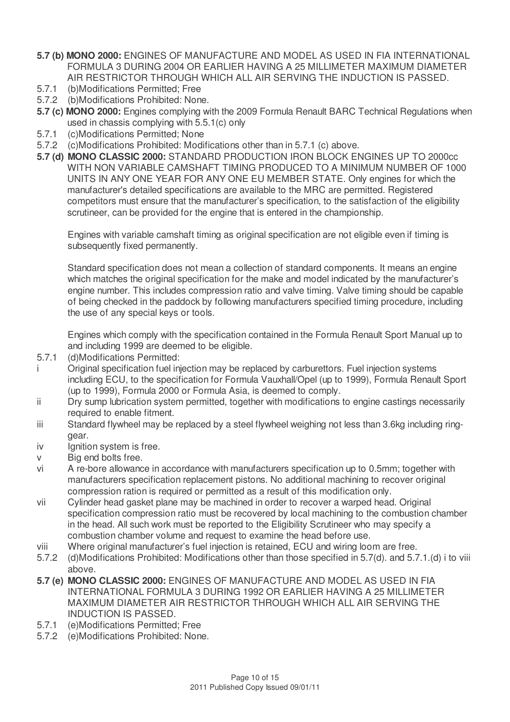- **5.7 (b) MONO 2000:** ENGINES OF MANUFACTURE AND MODEL AS USED IN FIA INTERNATIONAL FORMULA 3 DURING 2004 OR EARLIER HAVING A 25 MILLIMETER MAXIMUM DIAMETER AIR RESTRICTOR THROUGH WHICH ALL AIR SERVING THE INDUCTION IS PASSED.
- 5.7.1 (b)Modifications Permitted; Free
- 5.7.2 (b)Modifications Prohibited: None.
- **5.7 (c) MONO 2000:** Engines complying with the 2009 Formula Renault BARC Technical Regulations when used in chassis complying with 5.5.1(c) only
- 5.7.1 (c)Modifications Permitted; None
- 5.7.2 (c)Modifications Prohibited: Modifications other than in 5.7.1 (c) above.
- **5.7 (d) MONO CLASSIC 2000:** STANDARD PRODUCTION IRON BLOCK ENGINES UP TO 2000cc WITH NON VARIABLE CAMSHAFT TIMING PRODUCED TO A MINIMUM NUMBER OF 1000 UNITS IN ANY ONE YEAR FOR ANY ONE EU MEMBER STATE. Only engines for which the manufacturer's detailed specifications are available to the MRC are permitted. Registered competitors must ensure that the manufacturer's specification, to the satisfaction of the eligibility scrutineer, can be provided for the engine that is entered in the championship.

Engines with variable camshaft timing as original specification are not eligible even if timing is subsequently fixed permanently.

Standard specification does not mean a collection of standard components. It means an engine which matches the original specification for the make and model indicated by the manufacturer's engine number. This includes compression ratio and valve timing. Valve timing should be capable of being checked in the paddock by following manufacturers specified timing procedure, including the use of any special keys or tools.

Engines which comply with the specification contained in the Formula Renault Sport Manual up to and including 1999 are deemed to be eligible.

- 5.7.1 (d)Modifications Permitted:
- i Original specification fuel injection may be replaced by carburettors. Fuel injection systems including ECU, to the specification for Formula Vauxhall/Opel (up to 1999), Formula Renault Sport (up to 1999), Formula 2000 or Formula Asia, is deemed to comply.
- ii Dry sump lubrication system permitted, together with modifications to engine castings necessarily required to enable fitment.
- iii Standard flywheel may be replaced by a steel flywheel weighing not less than 3.6kg including ringgear.
- iv Ignition system is free.
- v Big end bolts free.
- vi A re-bore allowance in accordance with manufacturers specification up to 0.5mm; together with manufacturers specification replacement pistons. No additional machining to recover original compression ration is required or permitted as a result of this modification only.
- vii Cylinder head gasket plane may be machined in order to recover a warped head. Original specification compression ratio must be recovered by local machining to the combustion chamber in the head. All such work must be reported to the Eligibility Scrutineer who may specify a combustion chamber volume and request to examine the head before use.
- viii Where original manufacturer's fuel injection is retained, ECU and wiring loom are free.
- 5.7.2 (d)Modifications Prohibited: Modifications other than those specified in 5.7(d). and 5.7.1.(d) i to viii above.
- **5.7 (e) MONO CLASSIC 2000:** ENGINES OF MANUFACTURE AND MODEL AS USED IN FIA INTERNATIONAL FORMULA 3 DURING 1992 OR EARLIER HAVING A 25 MILLIMETER MAXIMUM DIAMETER AIR RESTRICTOR THROUGH WHICH ALL AIR SERVING THE INDUCTION IS PASSED.
- 5.7.1 (e)Modifications Permitted; Free
- 5.7.2 (e)Modifications Prohibited: None.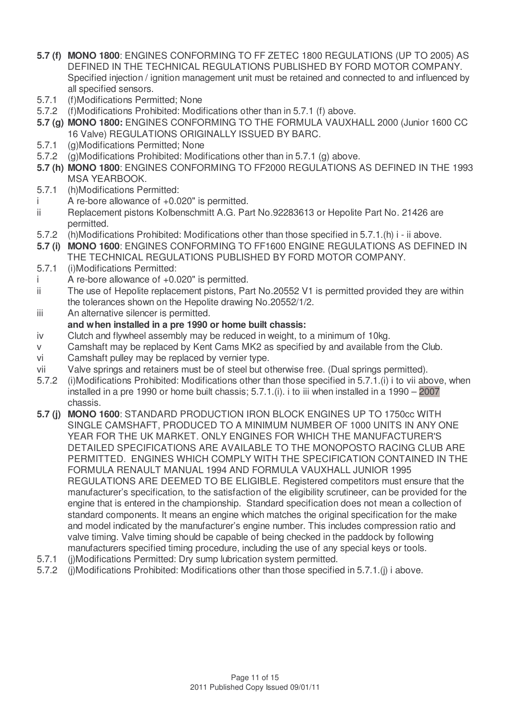- **5.7 (f) MONO 1800**: ENGINES CONFORMING TO FF ZETEC 1800 REGULATIONS (UP TO 2005) AS DEFINED IN THE TECHNICAL REGULATIONS PUBLISHED BY FORD MOTOR COMPANY. Specified injection / ignition management unit must be retained and connected to and influenced by all specified sensors.
- 5.7.1 (f)Modifications Permitted; None
- 5.7.2 (f)Modifications Prohibited: Modifications other than in 5.7.1 (f) above.
- **5.7 (g) MONO 1800:** ENGINES CONFORMING TO THE FORMULA VAUXHALL 2000 (Junior 1600 CC 16 Valve) REGULATIONS ORIGINALLY ISSUED BY BARC.
- 5.7.1 (g)Modifications Permitted; None
- 5.7.2 (g)Modifications Prohibited: Modifications other than in 5.7.1 (g) above.
- **5.7 (h) MONO 1800**: ENGINES CONFORMING TO FF2000 REGULATIONS AS DEFINED IN THE 1993 MSA YEARBOOK.
- 5.7.1 (h)Modifications Permitted:
- $i$  A re-bore allowance of  $+0.020$ " is permitted.
- ii Replacement pistons Kolbenschmitt A.G. Part No.92283613 or Hepolite Part No. 21426 are permitted.
- 5.7.2 (h)Modifications Prohibited: Modifications other than those specified in 5.7.1.(h) i ii above.
- **5.7 (i) MONO 1600**: ENGINES CONFORMING TO FF1600 ENGINE REGULATIONS AS DEFINED IN THE TECHNICAL REGULATIONS PUBLISHED BY FORD MOTOR COMPANY.
- 5.7.1 (i)Modifications Permitted:
- A re-bore allowance of  $+0.020$ " is permitted.
- ii The use of Hepolite replacement pistons, Part No.20552 V1 is permitted provided they are within the tolerances shown on the Hepolite drawing No.20552/1/2.
- iii An alternative silencer is permitted.
- **and when installed in a pre 1990 or home built chassis:**
- iv Clutch and flywheel assembly may be reduced in weight, to a minimum of 10kg.
- v Camshaft may be replaced by Kent Cams MK2 as specified by and available from the Club.
- vi Camshaft pulley may be replaced by vernier type.
- vii Valve springs and retainers must be of steel but otherwise free. (Dual springs permitted).
- 5.7.2 (i)Modifications Prohibited: Modifications other than those specified in 5.7.1.(i) i to vii above, when installed in a pre 1990 or home built chassis; 5.7.1.(i). i to iii when installed in a 1990 – 2007 chassis.
- **5.7 (j) MONO 1600**: STANDARD PRODUCTION IRON BLOCK ENGINES UP TO 1750cc WITH SINGLE CAMSHAFT, PRODUCED TO A MINIMUM NUMBER OF 1000 UNITS IN ANY ONE YEAR FOR THE UK MARKET. ONLY ENGINES FOR WHICH THE MANUFACTURER'S DETAILED SPECIFICATIONS ARE AVAILABLE TO THE MONOPOSTO RACING CLUB ARE PERMITTED. ENGINES WHICH COMPLY WITH THE SPECIFICATION CONTAINED IN THE FORMULA RENAULT MANUAL 1994 AND FORMULA VAUXHALL JUNIOR 1995 REGULATIONS ARE DEEMED TO BE ELIGIBLE. Registered competitors must ensure that the manufacturer's specification, to the satisfaction of the eligibility scrutineer, can be provided for the engine that is entered in the championship. Standard specification does not mean a collection of standard components. It means an engine which matches the original specification for the make and model indicated by the manufacturer's engine number. This includes compression ratio and valve timing. Valve timing should be capable of being checked in the paddock by following manufacturers specified timing procedure, including the use of any special keys or tools.
- 5.7.1 (j)Modifications Permitted: Dry sump lubrication system permitted.
- 5.7.2 (j)Modifications Prohibited: Modifications other than those specified in 5.7.1.(j) i above.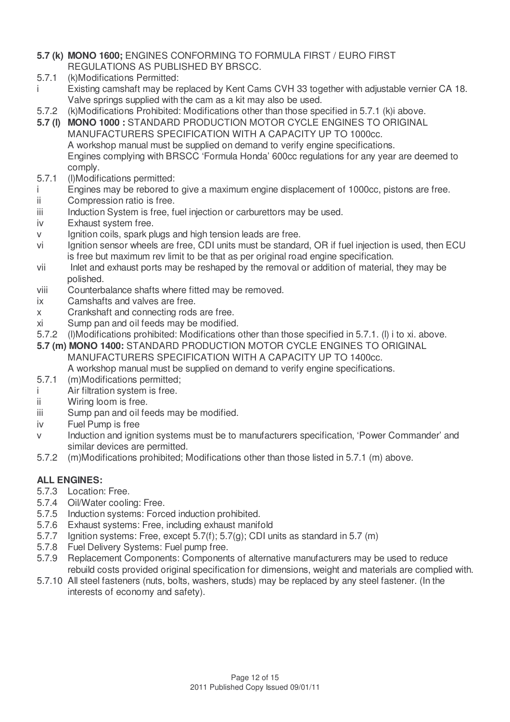- **5.7 (k) MONO 1600;** ENGINES CONFORMING TO FORMULA FIRST / EURO FIRST REGULATIONS AS PUBLISHED BY BRSCC.
- 5.7.1 (k)Modifications Permitted:
- i Existing camshaft may be replaced by Kent Cams CVH 33 together with adjustable vernier CA 18. Valve springs supplied with the cam as a kit may also be used.
- 5.7.2 (k)Modifications Prohibited: Modifications other than those specified in 5.7.1 (k)i above.
- **5.7 (l) MONO 1000 :** STANDARD PRODUCTION MOTOR CYCLE ENGINES TO ORIGINAL MANUFACTURERS SPECIFICATION WITH A CAPACITY UP TO 1000cc. A workshop manual must be supplied on demand to verify engine specifications. Engines complying with BRSCC 'Formula Honda' 600cc regulations for any year are deemed to comply.
- 5.7.1 (l)Modifications permitted:
- i Engines may be rebored to give a maximum engine displacement of 1000cc, pistons are free.
- ii Compression ratio is free.
- iii Induction System is free, fuel injection or carburettors may be used.
- iv Exhaust system free.
- v Ignition coils, spark plugs and high tension leads are free.
- vi Ignition sensor wheels are free, CDI units must be standard, OR if fuel injection is used, then ECU is free but maximum rev limit to be that as per original road engine specification.
- vii Inlet and exhaust ports may be reshaped by the removal or addition of material, they may be polished.
- viii Counterbalance shafts where fitted may be removed.
- ix Camshafts and valves are free.
- x Crankshaft and connecting rods are free.
- xi Sump pan and oil feeds may be modified.
- 5.7.2 (l)Modifications prohibited: Modifications other than those specified in 5.7.1. (l) i to xi. above.
- **5.7 (m) MONO 1400:** STANDARD PRODUCTION MOTOR CYCLE ENGINES TO ORIGINAL
	- MANUFACTURERS SPECIFICATION WITH A CAPACITY UP TO 1400cc. A workshop manual must be supplied on demand to verify engine specifications.
- 5.7.1 (m)Modifications permitted;
- i Air filtration system is free.
- ii Wiring loom is free.
- iii Sump pan and oil feeds may be modified.
- iv Fuel Pump is free
- v Induction and ignition systems must be to manufacturers specification, 'Power Commander' and similar devices are permitted.
- 5.7.2 (m)Modifications prohibited; Modifications other than those listed in 5.7.1 (m) above.

#### **ALL ENGINES:**

- 5.7.3 Location: Free.
- 5.7.4 Oil/Water cooling: Free.
- 5.7.5 Induction systems: Forced induction prohibited.
- 5.7.6 Exhaust systems: Free, including exhaust manifold
- 5.7.7 Ignition systems: Free, except 5.7(f); 5.7(g); CDI units as standard in 5.7 (m)
- 5.7.8 Fuel Delivery Systems: Fuel pump free.
- 5.7.9 Replacement Components: Components of alternative manufacturers may be used to reduce rebuild costs provided original specification for dimensions, weight and materials are complied with.
- 5.7.10 All steel fasteners (nuts, bolts, washers, studs) may be replaced by any steel fastener. (In the interests of economy and safety).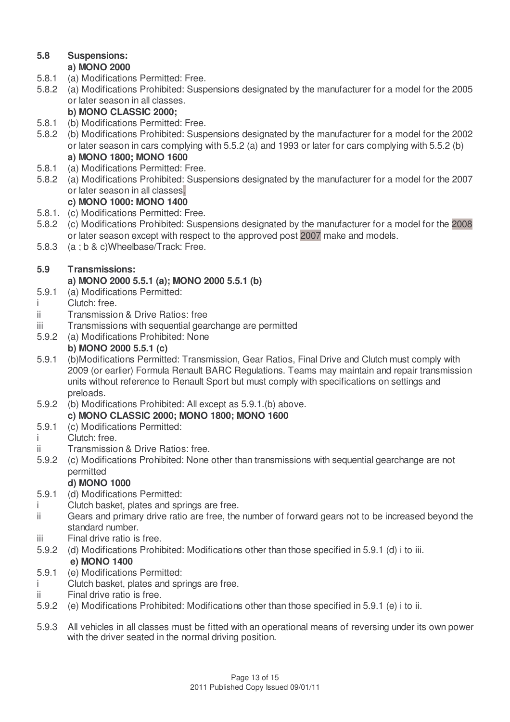#### **5.8 Suspensions:**

#### **a) MONO 2000**

- 5.8.1 (a) Modifications Permitted: Free.
- 5.8.2 (a) Modifications Prohibited: Suspensions designated by the manufacturer for a model for the 2005 or later season in all classes.

#### **b) MONO CLASSIC 2000;**

- 5.8.1 (b) Modifications Permitted: Free.
- 5.8.2 (b) Modifications Prohibited: Suspensions designated by the manufacturer for a model for the 2002 or later season in cars complying with 5.5.2 (a) and 1993 or later for cars complying with 5.5.2 (b) **a) MONO 1800; MONO 1600**
- 5.8.1 (a) Modifications Permitted: Free.
- 5.8.2 (a) Modifications Prohibited: Suspensions designated by the manufacturer for a model for the 2007 or later season in all classes.

#### **c) MONO 1000: MONO 1400**

- 5.8.1. (c) Modifications Permitted: Free.
- 5.8.2 (c) Modifications Prohibited: Suspensions designated by the manufacturer for a model for the 2008 or later season except with respect to the approved post 2007 make and models.
- 5.8.3 (a ; b & c)Wheelbase/Track: Free.

#### **5.9 Transmissions:**

#### **a) MONO 2000 5.5.1 (a); MONO 2000 5.5.1 (b)**

- 5.9.1 (a) Modifications Permitted:
- i Clutch: free.
- ii Transmission & Drive Ratios: free
- iii Transmissions with sequential gearchange are permitted
- 5.9.2 (a) Modifications Prohibited: None **b) MONO 2000 5.5.1 (c)**
- 5.9.1 (b)Modifications Permitted: Transmission, Gear Ratios, Final Drive and Clutch must comply with 2009 (or earlier) Formula Renault BARC Regulations. Teams may maintain and repair transmission units without reference to Renault Sport but must comply with specifications on settings and preloads.
- 5.9.2 (b) Modifications Prohibited: All except as 5.9.1.(b) above. **c) MONO CLASSIC 2000; MONO 1800; MONO 1600**
- 5.9.1 (c) Modifications Permitted:
- Clutch: free.
- ii Transmission & Drive Ratios: free.
- 5.9.2 (c) Modifications Prohibited: None other than transmissions with sequential gearchange are not permitted

#### **d) MONO 1000**

- 5.9.1 (d) Modifications Permitted:
- i Clutch basket, plates and springs are free.
- ii Gears and primary drive ratio are free, the number of forward gears not to be increased beyond the standard number.
- iii Final drive ratio is free.
- 5.9.2 (d) Modifications Prohibited: Modifications other than those specified in 5.9.1 (d) i to iii.

#### **e) MONO 1400**

- 5.9.1 (e) Modifications Permitted:
- i Clutch basket, plates and springs are free.
- ii Final drive ratio is free.
- 5.9.2 (e) Modifications Prohibited: Modifications other than those specified in 5.9.1 (e) i to ii.
- 5.9.3 All vehicles in all classes must be fitted with an operational means of reversing under its own power with the driver seated in the normal driving position.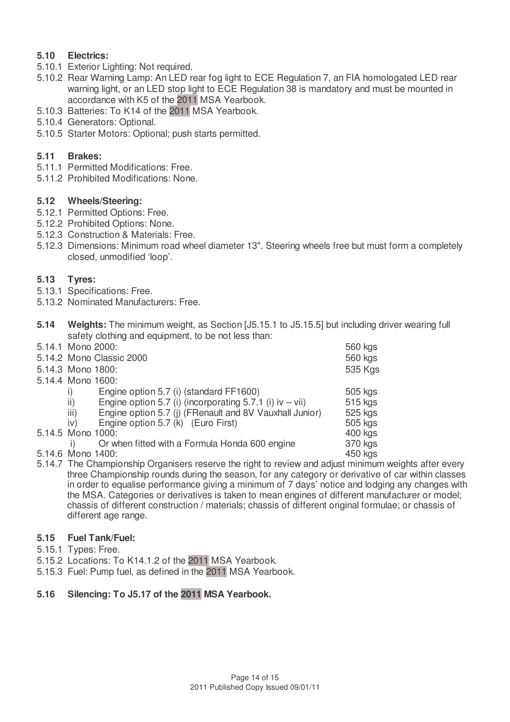#### **5.10 Electrics:**

- 5.10.1 Exterior Lighting: Not required.
- 5.10.2 Rear Warning Lamp: An LED rear fog light to ECE Regulation 7, an FIA homologated LED rear warning light, or an LED stop light to ECE Regulation 38 is mandatory and must be mounted in accordance with K5 of the 2011 MSA Yearbook.
- 5.10.3 Batteries: To K14 of the 2011 MSA Yearbook.
- 5.10.4 Generators: Optional.
- 5.10.5 Starter Motors: Optional; push starts permitted.

#### **5.11 Brakes:**

- 5.11.1 Permitted Modifications: Free.
- 5.11.2 Prohibited Modifications: None.

#### **5.12 Wheels/Steering:**

- 5.12.1 Permitted Options: Free.
- 5.12.2 Prohibited Options: None.
- 5.12.3 Construction & Materials: Free.
- 5.12.3 Dimensions: Minimum road wheel diameter 13". Steering wheels free but must form a completely closed, unmodified 'loop'.

#### **5.13 Tyres:**

- 5.13.1 Specifications: Free.
- 5.13.2 Nominated Manufacturers: Free.
- **5.14 Weights:** The minimum weight, as Section [J5.15.1 to J5.15.5] but including driver wearing full safety clothing and equipment, to be not less than:

| 5.14.1 Mono 2000:                                                              | 560 kgs |
|--------------------------------------------------------------------------------|---------|
| 5.14.2 Mono Classic 2000                                                       | 560 kgs |
| 5.14.3 Mono 1800:                                                              | 535 Kgs |
| 5.14.4 Mono 1600:                                                              |         |
| Engine option 5.7 (i) (standard FF1600)<br>$_{\rm 1)}$                         | 505 kgs |
| Engine option 5.7 (i) (incorporating 5.7.1 (i) $iv - vii$ )<br>$\overline{ii}$ | 515 kgs |
| iii)<br>Engine option 5.7 (j) (FRenault and 8V Vauxhall Junior)                | 525 kgs |
| Engine option 5.7 (k) (Euro First)<br>iv)                                      | 505 kgs |
| 5.14.5 Mono 1000:                                                              | 400 kgs |
| Or when fitted with a Formula Honda 600 engine                                 | 370 kgs |
| 5.14.6 Mono 1400:                                                              | 450 kgs |
|                                                                                |         |

5.14.7 The Championship Organisers reserve the right to review and adjust minimum weights after every three Championship rounds during the season, for any category or derivative of car within classes in order to equalise performance giving a minimum of 7 days' notice and lodging any changes with the MSA. Categories or derivatives is taken to mean engines of different manufacturer or model; chassis of different construction / materials; chassis of different original formulae; or chassis of different age range.

#### **5.15 Fuel Tank/Fuel:**

- 5.15.1 Types: Free.
- 5.15.2 Locations: To K14.1.2 of the 2011 MSA Yearbook.
- 5.15.3 Fuel: Pump fuel, as defined in the 2011 MSA Yearbook.

#### **5.16 Silencing: To J5.17 of the 2011 MSA Yearbook.**